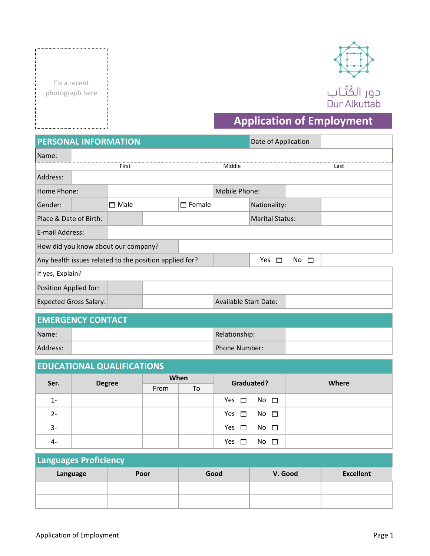Fix a recent photograph here



## **Application of Employment**

| <b>PERSONAL INFORMATION</b>                            |  |             |  |               |                              | Date of Application    |          |      |
|--------------------------------------------------------|--|-------------|--|---------------|------------------------------|------------------------|----------|------|
| Name:                                                  |  |             |  |               |                              |                        |          |      |
|                                                        |  | First       |  |               | Middle                       |                        |          | Last |
| Address:                                               |  |             |  |               |                              |                        |          |      |
| Home Phone:                                            |  |             |  |               | Mobile Phone:                |                        |          |      |
| Gender:                                                |  | $\Box$ Male |  | $\Box$ Female |                              | Nationality:           |          |      |
| Place & Date of Birth:                                 |  |             |  |               |                              | <b>Marital Status:</b> |          |      |
| E-mail Address:                                        |  |             |  |               |                              |                        |          |      |
| How did you know about our company?                    |  |             |  |               |                              |                        |          |      |
| Any health issues related to the position applied for? |  |             |  |               |                              | Yes<br>Л               | No.<br>□ |      |
| If yes, Explain?                                       |  |             |  |               |                              |                        |          |      |
| Position Applied for:                                  |  |             |  |               |                              |                        |          |      |
| <b>Expected Gross Salary:</b>                          |  |             |  |               | <b>Available Start Date:</b> |                        |          |      |

| <b>EMERGENCY CONTACT</b> |  |                      |  |  |  |  |
|--------------------------|--|----------------------|--|--|--|--|
| Name:                    |  | Relationship:        |  |  |  |  |
| Address:                 |  | <b>Phone Number:</b> |  |  |  |  |

## From To 1- 2- 3- 4- **Ser. Graduated? Where When Degree** Yes  $\square$  No  $\square$ **EDUCATIONAL QUALIFICATIONS** Yes  $\Box$  No  $\Box$ Yes  $\square$  No  $\square$ Yes  $\Box$  No  $\Box$

| Languages Proficiency |      |      |         |                  |  |  |  |
|-----------------------|------|------|---------|------------------|--|--|--|
| Language              | Poor | Good | V. Good | <b>Excellent</b> |  |  |  |
|                       |      |      |         |                  |  |  |  |
|                       |      |      |         |                  |  |  |  |